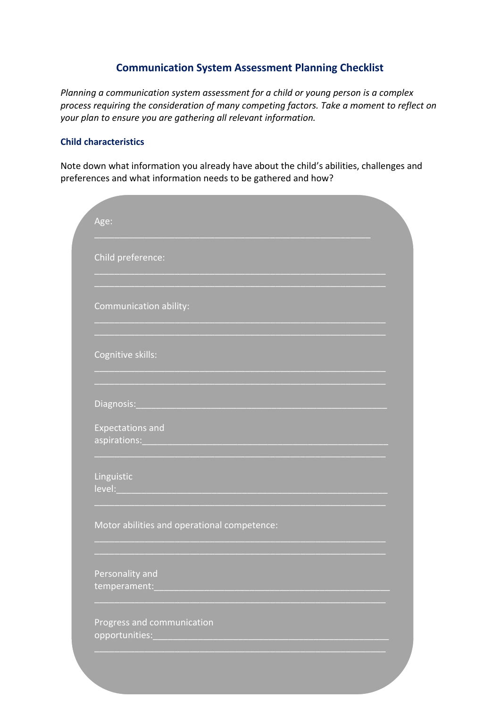# **Communication System Assessment Planning Checklist**

*Planning a communication system assessment for a child or young person is a complex process requiring the consideration of many competing factors. Take a moment to reflect on your plan to ensure you are gathering all relevant information.* 

### **Child characteristics**

Note down what information you already have about the child's abilities, challenges and preferences and what information needs to be gathered and how?

| Age:                      |                                              |
|---------------------------|----------------------------------------------|
|                           | Child preference:                            |
|                           | Communication ability:                       |
|                           | Cognitive skills:                            |
| Diagnosis:                |                                              |
|                           | <b>Expectations and</b><br>aspirations:      |
| Linguistic<br>level:_____ |                                              |
|                           | Motor abilities and operational competence:  |
|                           | Personality and<br>temperament:              |
|                           | Progress and communication<br>opportunities: |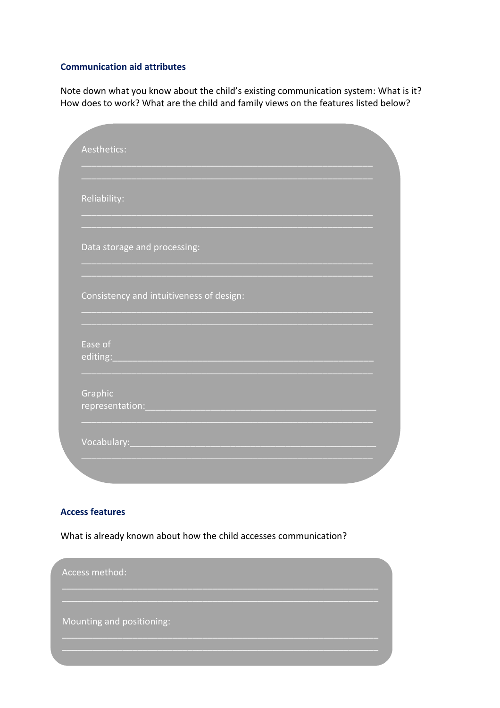### **Communication aid attributes**

Note down what you know about the child's existing communication system: What is it? How does to work? What are the child and family views on the features listed below?

|                     | Aesthetics:                              |  |  |
|---------------------|------------------------------------------|--|--|
| Reliability:        |                                          |  |  |
|                     | Data storage and processing:             |  |  |
|                     | Consistency and intuitiveness of design: |  |  |
| Ease of<br>editing: |                                          |  |  |
| Graphic             | representation:                          |  |  |
|                     |                                          |  |  |

## **Access features**

What is already known about how the child accesses communication?

Access method: Mounting and positioning: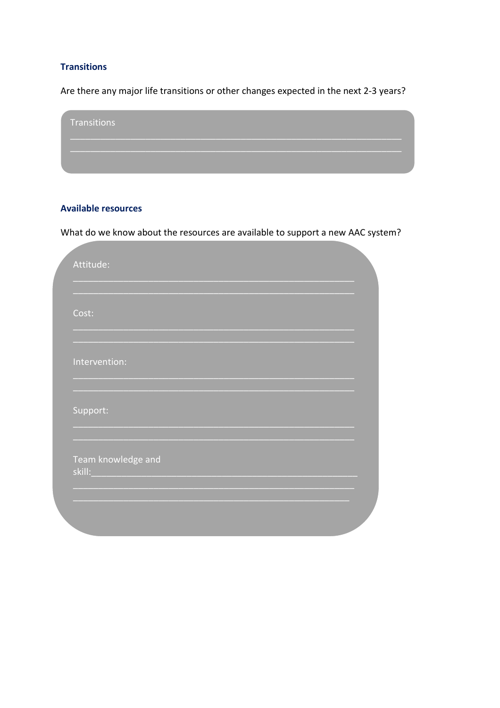#### **Transitions**

Are there any major life transitions or other changes expected in the next 2-3 years?



### **Available resources**

**START COMPANY** 

What do we know about the resources are available to support a new AAC system?

| Attitude:                    |  |  |
|------------------------------|--|--|
|                              |  |  |
| Cost:                        |  |  |
|                              |  |  |
| Intervention:                |  |  |
|                              |  |  |
| Support:                     |  |  |
|                              |  |  |
| Team knowledge and<br>skill: |  |  |
|                              |  |  |
|                              |  |  |
|                              |  |  |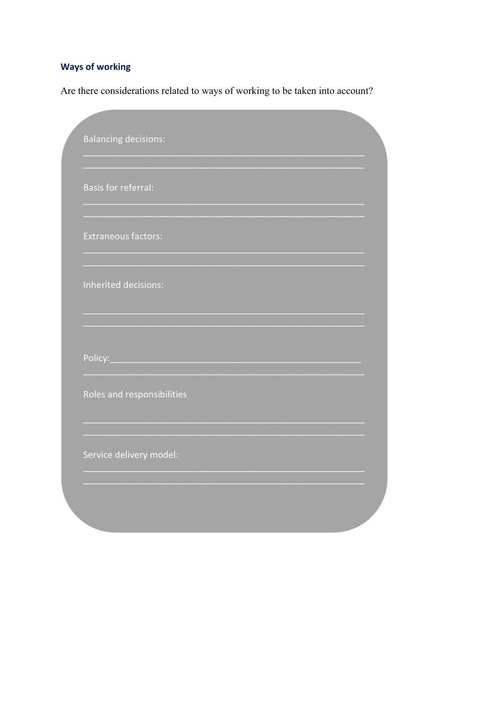### **Ways of working**

Are there considerations related to ways of working to be taken into account?

**Balancing decisions:** Basis for referral: Extraneous factors: Inherited decisions: Roles and responsibilities Service delivery model: